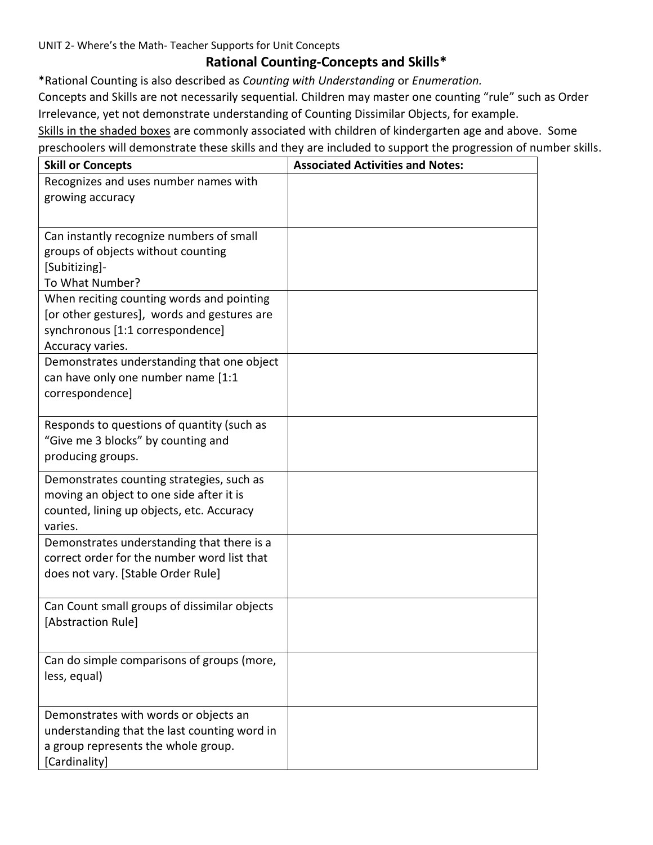UNIT 2- Where's the Math- Teacher Supports for Unit Concepts

## **Rational Counting-Concepts and Skills\***

\*Rational Counting is also described as *Counting with Understanding* or *Enumeration.*

Concepts and Skills are not necessarily sequential. Children may master one counting "rule" such as Order Irrelevance, yet not demonstrate understanding of Counting Dissimilar Objects, for example.

Skills in the shaded boxes are commonly associated with children of kindergarten age and above. Some preschoolers will demonstrate these skills and they are included to support the progression of number skills.

| Recognizes and uses number names with<br>growing accuracy<br>Can instantly recognize numbers of small<br>groups of objects without counting<br>[Subitizing]-<br>To What Number?<br>When reciting counting words and pointing<br>[or other gestures], words and gestures are<br>synchronous [1:1 correspondence]<br>Accuracy varies.<br>Demonstrates understanding that one object<br>can have only one number name [1:1<br>correspondence]<br>Responds to questions of quantity (such as<br>"Give me 3 blocks" by counting and<br>producing groups.<br>Demonstrates counting strategies, such as<br>moving an object to one side after it is<br>counted, lining up objects, etc. Accuracy<br>varies.<br>Demonstrates understanding that there is a<br>correct order for the number word list that<br>does not vary. [Stable Order Rule]<br>Can Count small groups of dissimilar objects<br>[Abstraction Rule]<br>Can do simple comparisons of groups (more,<br>less, equal)<br>Demonstrates with words or objects an<br>understanding that the last counting word in<br>a group represents the whole group. | <b>Skill or Concepts</b> | <b>Associated Activities and Notes:</b> |
|-------------------------------------------------------------------------------------------------------------------------------------------------------------------------------------------------------------------------------------------------------------------------------------------------------------------------------------------------------------------------------------------------------------------------------------------------------------------------------------------------------------------------------------------------------------------------------------------------------------------------------------------------------------------------------------------------------------------------------------------------------------------------------------------------------------------------------------------------------------------------------------------------------------------------------------------------------------------------------------------------------------------------------------------------------------------------------------------------------------|--------------------------|-----------------------------------------|
|                                                                                                                                                                                                                                                                                                                                                                                                                                                                                                                                                                                                                                                                                                                                                                                                                                                                                                                                                                                                                                                                                                             |                          |                                         |
|                                                                                                                                                                                                                                                                                                                                                                                                                                                                                                                                                                                                                                                                                                                                                                                                                                                                                                                                                                                                                                                                                                             |                          |                                         |
|                                                                                                                                                                                                                                                                                                                                                                                                                                                                                                                                                                                                                                                                                                                                                                                                                                                                                                                                                                                                                                                                                                             |                          |                                         |
|                                                                                                                                                                                                                                                                                                                                                                                                                                                                                                                                                                                                                                                                                                                                                                                                                                                                                                                                                                                                                                                                                                             |                          |                                         |
|                                                                                                                                                                                                                                                                                                                                                                                                                                                                                                                                                                                                                                                                                                                                                                                                                                                                                                                                                                                                                                                                                                             |                          |                                         |
|                                                                                                                                                                                                                                                                                                                                                                                                                                                                                                                                                                                                                                                                                                                                                                                                                                                                                                                                                                                                                                                                                                             |                          |                                         |
|                                                                                                                                                                                                                                                                                                                                                                                                                                                                                                                                                                                                                                                                                                                                                                                                                                                                                                                                                                                                                                                                                                             |                          |                                         |
|                                                                                                                                                                                                                                                                                                                                                                                                                                                                                                                                                                                                                                                                                                                                                                                                                                                                                                                                                                                                                                                                                                             |                          |                                         |
|                                                                                                                                                                                                                                                                                                                                                                                                                                                                                                                                                                                                                                                                                                                                                                                                                                                                                                                                                                                                                                                                                                             |                          |                                         |
|                                                                                                                                                                                                                                                                                                                                                                                                                                                                                                                                                                                                                                                                                                                                                                                                                                                                                                                                                                                                                                                                                                             |                          |                                         |
|                                                                                                                                                                                                                                                                                                                                                                                                                                                                                                                                                                                                                                                                                                                                                                                                                                                                                                                                                                                                                                                                                                             |                          |                                         |
|                                                                                                                                                                                                                                                                                                                                                                                                                                                                                                                                                                                                                                                                                                                                                                                                                                                                                                                                                                                                                                                                                                             |                          |                                         |
|                                                                                                                                                                                                                                                                                                                                                                                                                                                                                                                                                                                                                                                                                                                                                                                                                                                                                                                                                                                                                                                                                                             |                          |                                         |
|                                                                                                                                                                                                                                                                                                                                                                                                                                                                                                                                                                                                                                                                                                                                                                                                                                                                                                                                                                                                                                                                                                             |                          |                                         |
|                                                                                                                                                                                                                                                                                                                                                                                                                                                                                                                                                                                                                                                                                                                                                                                                                                                                                                                                                                                                                                                                                                             |                          |                                         |
|                                                                                                                                                                                                                                                                                                                                                                                                                                                                                                                                                                                                                                                                                                                                                                                                                                                                                                                                                                                                                                                                                                             |                          |                                         |
|                                                                                                                                                                                                                                                                                                                                                                                                                                                                                                                                                                                                                                                                                                                                                                                                                                                                                                                                                                                                                                                                                                             |                          |                                         |
|                                                                                                                                                                                                                                                                                                                                                                                                                                                                                                                                                                                                                                                                                                                                                                                                                                                                                                                                                                                                                                                                                                             |                          |                                         |
|                                                                                                                                                                                                                                                                                                                                                                                                                                                                                                                                                                                                                                                                                                                                                                                                                                                                                                                                                                                                                                                                                                             |                          |                                         |
|                                                                                                                                                                                                                                                                                                                                                                                                                                                                                                                                                                                                                                                                                                                                                                                                                                                                                                                                                                                                                                                                                                             |                          |                                         |
|                                                                                                                                                                                                                                                                                                                                                                                                                                                                                                                                                                                                                                                                                                                                                                                                                                                                                                                                                                                                                                                                                                             |                          |                                         |
|                                                                                                                                                                                                                                                                                                                                                                                                                                                                                                                                                                                                                                                                                                                                                                                                                                                                                                                                                                                                                                                                                                             |                          |                                         |
|                                                                                                                                                                                                                                                                                                                                                                                                                                                                                                                                                                                                                                                                                                                                                                                                                                                                                                                                                                                                                                                                                                             |                          |                                         |
|                                                                                                                                                                                                                                                                                                                                                                                                                                                                                                                                                                                                                                                                                                                                                                                                                                                                                                                                                                                                                                                                                                             |                          |                                         |
|                                                                                                                                                                                                                                                                                                                                                                                                                                                                                                                                                                                                                                                                                                                                                                                                                                                                                                                                                                                                                                                                                                             |                          |                                         |
|                                                                                                                                                                                                                                                                                                                                                                                                                                                                                                                                                                                                                                                                                                                                                                                                                                                                                                                                                                                                                                                                                                             |                          |                                         |
|                                                                                                                                                                                                                                                                                                                                                                                                                                                                                                                                                                                                                                                                                                                                                                                                                                                                                                                                                                                                                                                                                                             |                          |                                         |
|                                                                                                                                                                                                                                                                                                                                                                                                                                                                                                                                                                                                                                                                                                                                                                                                                                                                                                                                                                                                                                                                                                             |                          |                                         |
|                                                                                                                                                                                                                                                                                                                                                                                                                                                                                                                                                                                                                                                                                                                                                                                                                                                                                                                                                                                                                                                                                                             |                          |                                         |
|                                                                                                                                                                                                                                                                                                                                                                                                                                                                                                                                                                                                                                                                                                                                                                                                                                                                                                                                                                                                                                                                                                             |                          |                                         |
|                                                                                                                                                                                                                                                                                                                                                                                                                                                                                                                                                                                                                                                                                                                                                                                                                                                                                                                                                                                                                                                                                                             |                          |                                         |
|                                                                                                                                                                                                                                                                                                                                                                                                                                                                                                                                                                                                                                                                                                                                                                                                                                                                                                                                                                                                                                                                                                             |                          |                                         |
|                                                                                                                                                                                                                                                                                                                                                                                                                                                                                                                                                                                                                                                                                                                                                                                                                                                                                                                                                                                                                                                                                                             |                          |                                         |
|                                                                                                                                                                                                                                                                                                                                                                                                                                                                                                                                                                                                                                                                                                                                                                                                                                                                                                                                                                                                                                                                                                             | [Cardinality]            |                                         |